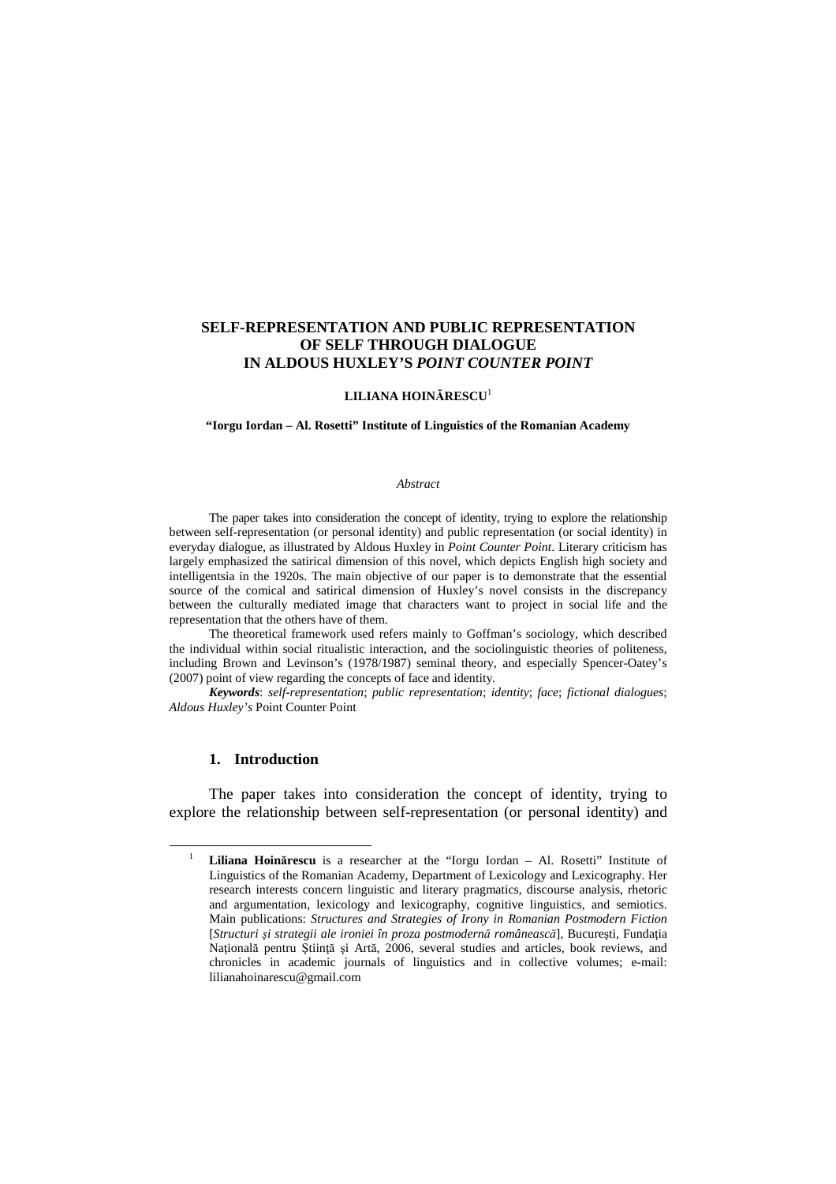# **SELF-REPRESENTATION AND PUBLIC REPRESENTATION OF SELF THROUGH DIALOGUE IN ALDOUS HUXLEY'S** *POINT COUNTER POINT*

## **LILIANA HOINĂRESCU**<sup>1</sup>

### **"Iorgu Iordan – Al. Rosetti" Institute of Linguistics of the Romanian Academy**

## *Abstract*

The paper takes into consideration the concept of identity, trying to explore the relationship between self-representation (or personal identity) and public representation (or social identity) in everyday dialogue, as illustrated by Aldous Huxley in *Point Counter Point*. Literary criticism has largely emphasized the satirical dimension of this novel, which depicts English high society and intelligentsia in the 1920s. The main objective of our paper is to demonstrate that the essential source of the comical and satirical dimension of Huxley's novel consists in the discrepancy between the culturally mediated image that characters want to project in social life and the representation that the others have of them.

The theoretical framework used refers mainly to Goffman's sociology, which described the individual within social ritualistic interaction, and the sociolinguistic theories of politeness, including Brown and Levinson's (1978/1987) seminal theory, and especially Spencer-Oatey's (2007) point of view regarding the concepts of face and identity.

*Keywords*: *self-representation*; *public representation*; *identity*; *face*; *fictional dialogues*; *Aldous Huxley's* Point Counter Point

## **1. Introduction**

l

The paper takes into consideration the concept of identity, trying to explore the relationship between self-representation (or personal identity) and

<sup>1</sup> **Liliana Hoinărescu** is a researcher at the "Iorgu Iordan – Al. Rosetti" Institute of Linguistics of the Romanian Academy, Department of Lexicology and Lexicography. Her research interests concern linguistic and literary pragmatics, discourse analysis, rhetoric and argumentation, lexicology and lexicography, cognitive linguistics, and semiotics. Main publications: *Structures and Strategies of Irony in Romanian Postmodern Fiction*  [*Structuri şi strategii ale ironiei în proza postmodernă românească*], Bucureşti, Fundaţia Natională pentru Stiință și Artă, 2006, several studies and articles, book reviews, and chronicles in academic journals of linguistics and in collective volumes; e-mail: lilianahoinarescu@gmail.com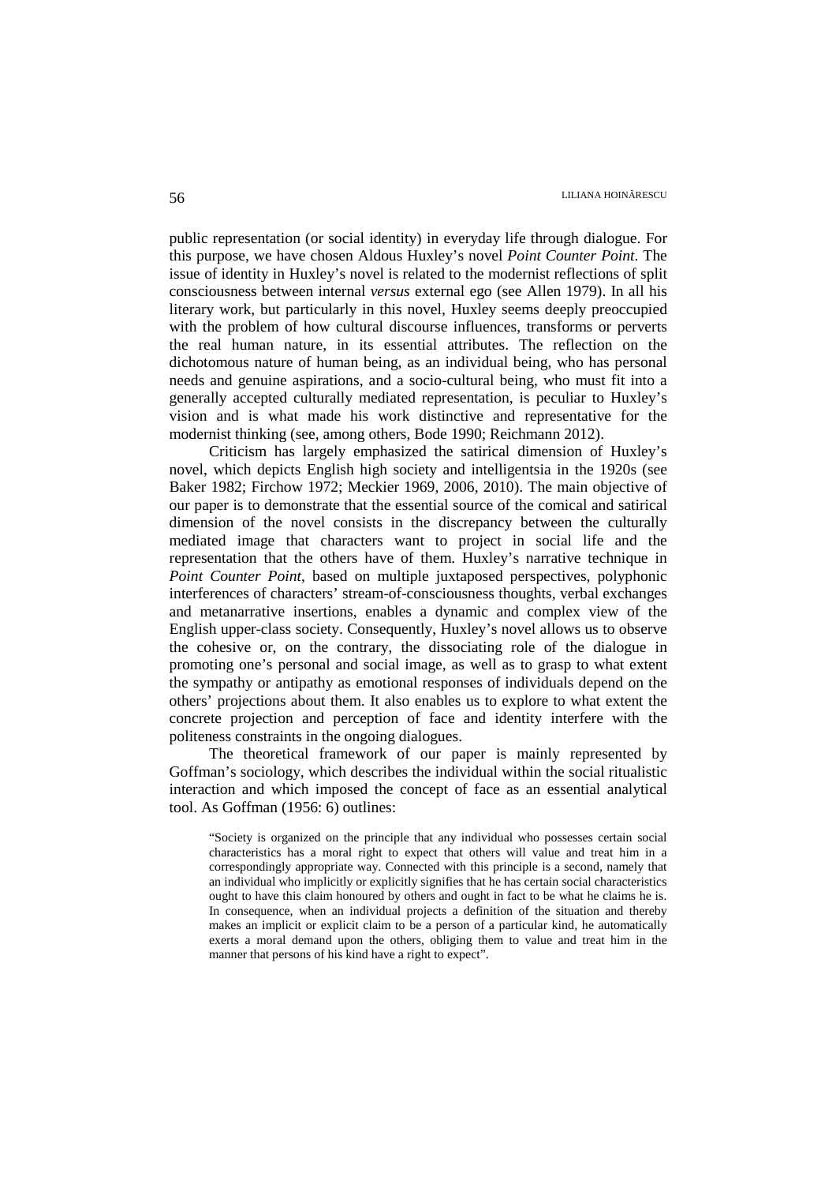public representation (or social identity) in everyday life through dialogue. For this purpose, we have chosen Aldous Huxley's novel *Point Counter Point*. The issue of identity in Huxley's novel is related to the modernist reflections of split consciousness between internal *versus* external ego (see Allen 1979). In all his literary work, but particularly in this novel, Huxley seems deeply preoccupied with the problem of how cultural discourse influences, transforms or perverts the real human nature, in its essential attributes. The reflection on the dichotomous nature of human being, as an individual being, who has personal needs and genuine aspirations, and a socio-cultural being, who must fit into a generally accepted culturally mediated representation, is peculiar to Huxley's vision and is what made his work distinctive and representative for the modernist thinking (see, among others, Bode 1990; Reichmann 2012).

Criticism has largely emphasized the satirical dimension of Huxley's novel, which depicts English high society and intelligentsia in the 1920s (see Baker 1982; Firchow 1972; Meckier 1969, 2006, 2010). The main objective of our paper is to demonstrate that the essential source of the comical and satirical dimension of the novel consists in the discrepancy between the culturally mediated image that characters want to project in social life and the representation that the others have of them. Huxley's narrative technique in *Point Counter Point*, based on multiple juxtaposed perspectives, polyphonic interferences of characters' stream-of-consciousness thoughts, verbal exchanges and metanarrative insertions, enables a dynamic and complex view of the English upper-class society. Consequently, Huxley's novel allows us to observe the cohesive or, on the contrary, the dissociating role of the dialogue in promoting one's personal and social image, as well as to grasp to what extent the sympathy or antipathy as emotional responses of individuals depend on the others' projections about them. It also enables us to explore to what extent the concrete projection and perception of face and identity interfere with the politeness constraints in the ongoing dialogues.

The theoretical framework of our paper is mainly represented by Goffman's sociology, which describes the individual within the social ritualistic interaction and which imposed the concept of face as an essential analytical tool. As Goffman (1956: 6) outlines:

"Society is organized on the principle that any individual who possesses certain social characteristics has a moral right to expect that others will value and treat him in a correspondingly appropriate way. Connected with this principle is a second, namely that an individual who implicitly or explicitly signifies that he has certain social characteristics ought to have this claim honoured by others and ought in fact to be what he claims he is. In consequence, when an individual projects a definition of the situation and thereby makes an implicit or explicit claim to be a person of a particular kind, he automatically exerts a moral demand upon the others, obliging them to value and treat him in the manner that persons of his kind have a right to expect".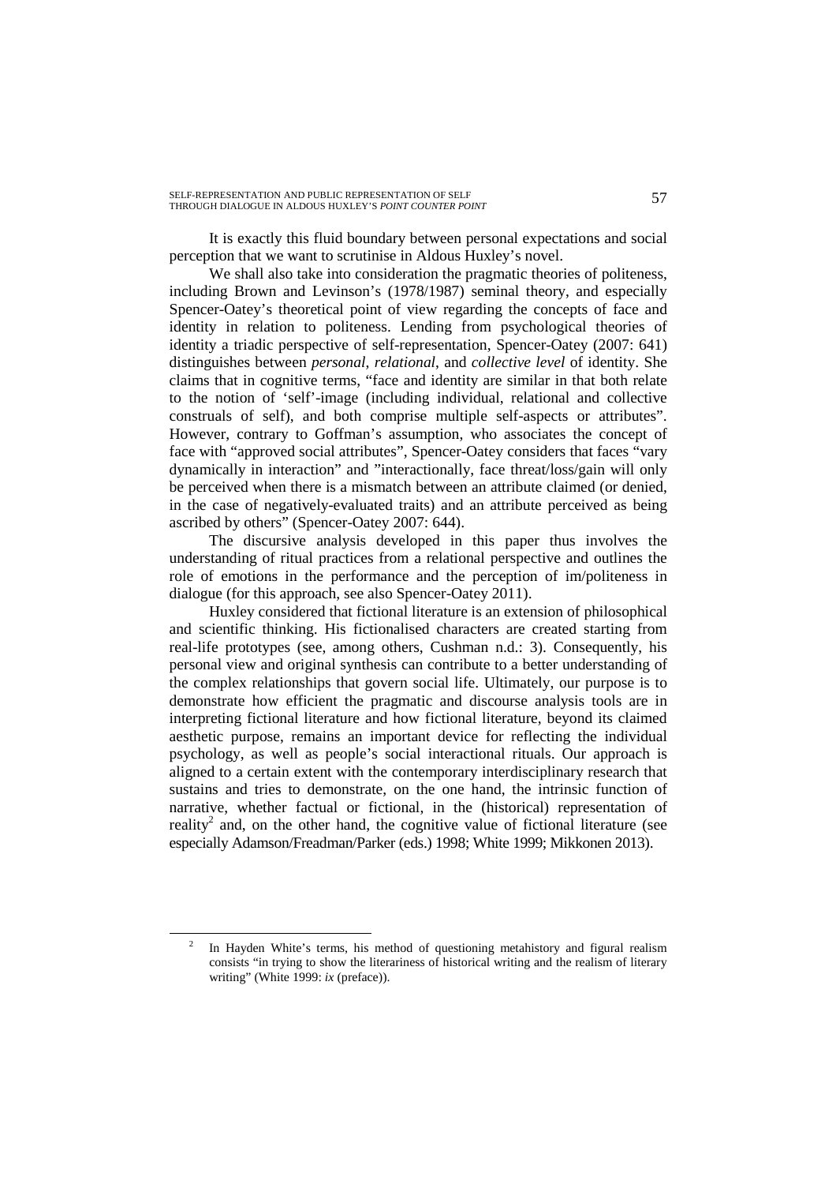It is exactly this fluid boundary between personal expectations and social perception that we want to scrutinise in Aldous Huxley's novel.

We shall also take into consideration the pragmatic theories of politeness, including Brown and Levinson's (1978/1987) seminal theory, and especially Spencer-Oatey's theoretical point of view regarding the concepts of face and identity in relation to politeness. Lending from psychological theories of identity a triadic perspective of self-representation, Spencer-Oatey (2007: 641) distinguishes between *personal*, *relational*, and *collective level* of identity. She claims that in cognitive terms, "face and identity are similar in that both relate to the notion of 'self'-image (including individual, relational and collective construals of self), and both comprise multiple self-aspects or attributes". However, contrary to Goffman's assumption, who associates the concept of face with "approved social attributes", Spencer-Oatey considers that faces "vary dynamically in interaction" and "interactionally, face threat/loss/gain will only be perceived when there is a mismatch between an attribute claimed (or denied, in the case of negatively-evaluated traits) and an attribute perceived as being ascribed by others" (Spencer-Oatey 2007: 644).

The discursive analysis developed in this paper thus involves the understanding of ritual practices from a relational perspective and outlines the role of emotions in the performance and the perception of im/politeness in dialogue (for this approach, see also Spencer-Oatey 2011).

Huxley considered that fictional literature is an extension of philosophical and scientific thinking. His fictionalised characters are created starting from real-life prototypes (see, among others, Cushman n.d.: 3). Consequently, his personal view and original synthesis can contribute to a better understanding of the complex relationships that govern social life. Ultimately, our purpose is to demonstrate how efficient the pragmatic and discourse analysis tools are in interpreting fictional literature and how fictional literature, beyond its claimed aesthetic purpose, remains an important device for reflecting the individual psychology, as well as people's social interactional rituals. Our approach is aligned to a certain extent with the contemporary interdisciplinary research that sustains and tries to demonstrate, on the one hand, the intrinsic function of narrative, whether factual or fictional, in the (historical) representation of reality<sup>2</sup> and, on the other hand, the cognitive value of fictional literature (see especially Adamson/Freadman/Parker (eds.) 1998; White 1999; Mikkonen 2013).

 $\overline{a}$ 

<sup>2</sup> In Hayden White's terms, his method of questioning metahistory and figural realism consists "in trying to show the literariness of historical writing and the realism of literary writing" (White 1999: *ix* (preface)).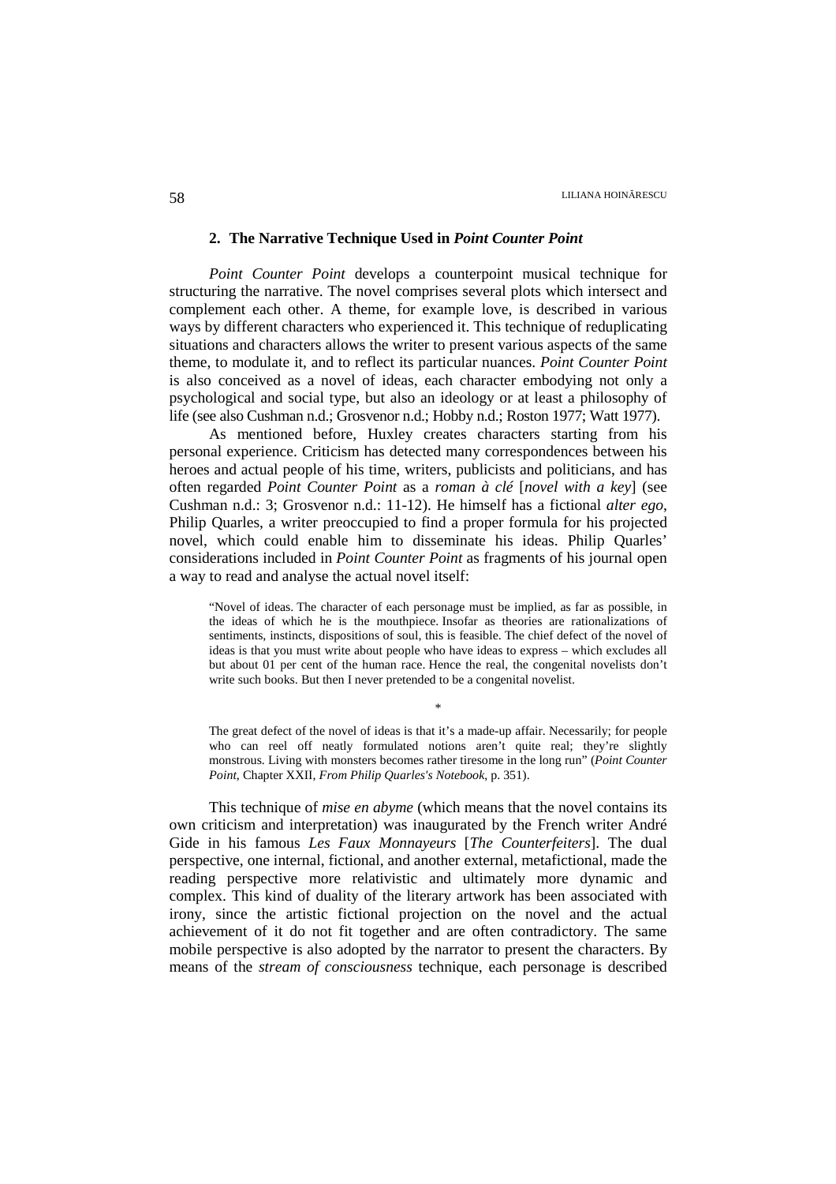# **2. The Narrative Technique Used in** *Point Counter Point*

*Point Counter Point* develops a counterpoint musical technique for structuring the narrative. The novel comprises several plots which intersect and complement each other. A theme, for example love, is described in various ways by different characters who experienced it. This technique of reduplicating situations and characters allows the writer to present various aspects of the same theme, to modulate it, and to reflect its particular nuances. *Point Counter Point* is also conceived as a novel of ideas, each character embodying not only a psychological and social type, but also an ideology or at least a philosophy of life (see also Cushman n.d.; Grosvenor n.d.; Hobby n.d.; Roston 1977; Watt 1977).

As mentioned before, Huxley creates characters starting from his personal experience. Criticism has detected many correspondences between his heroes and actual people of his time, writers, publicists and politicians, and has often regarded *Point Counter Point* as a *roman à clé* [*novel with a key*] (see Cushman n.d.: 3; Grosvenor n.d.: 11-12). He himself has a fictional *alter ego*, Philip Quarles, a writer preoccupied to find a proper formula for his projected novel, which could enable him to disseminate his ideas. Philip Quarles' considerations included in *Point Counter Point* as fragments of his journal open a way to read and analyse the actual novel itself:

"Novel of ideas. The character of each personage must be implied, as far as possible, in the ideas of which he is the mouthpiece. Insofar as theories are rationalizations of sentiments, instincts, dispositions of soul, this is feasible. The chief defect of the novel of ideas is that you must write about people who have ideas to express – which excludes all but about 01 per cent of the human race. Hence the real, the congenital novelists don't write such books. But then I never pretended to be a congenital novelist.

The great defect of the novel of ideas is that it's a made-up affair. Necessarily; for people who can reel off neatly formulated notions aren't quite real; they're slightly monstrous. Living with monsters becomes rather tiresome in the long run" (*Point Counter Point*, Chapter XXII, *From Philip Quarles's Notebook*, p. 351).

\*

This technique of *mise en abyme* (which means that the novel contains its own criticism and interpretation) was inaugurated by the French writer André Gide in his famous *Les Faux Monnayeurs* [*The Counterfeiters*]. The dual perspective, one internal, fictional, and another external, metafictional, made the reading perspective more relativistic and ultimately more dynamic and complex. This kind of duality of the literary artwork has been associated with irony, since the artistic fictional projection on the novel and the actual achievement of it do not fit together and are often contradictory. The same mobile perspective is also adopted by the narrator to present the characters. By means of the *stream of consciousness* technique, each personage is described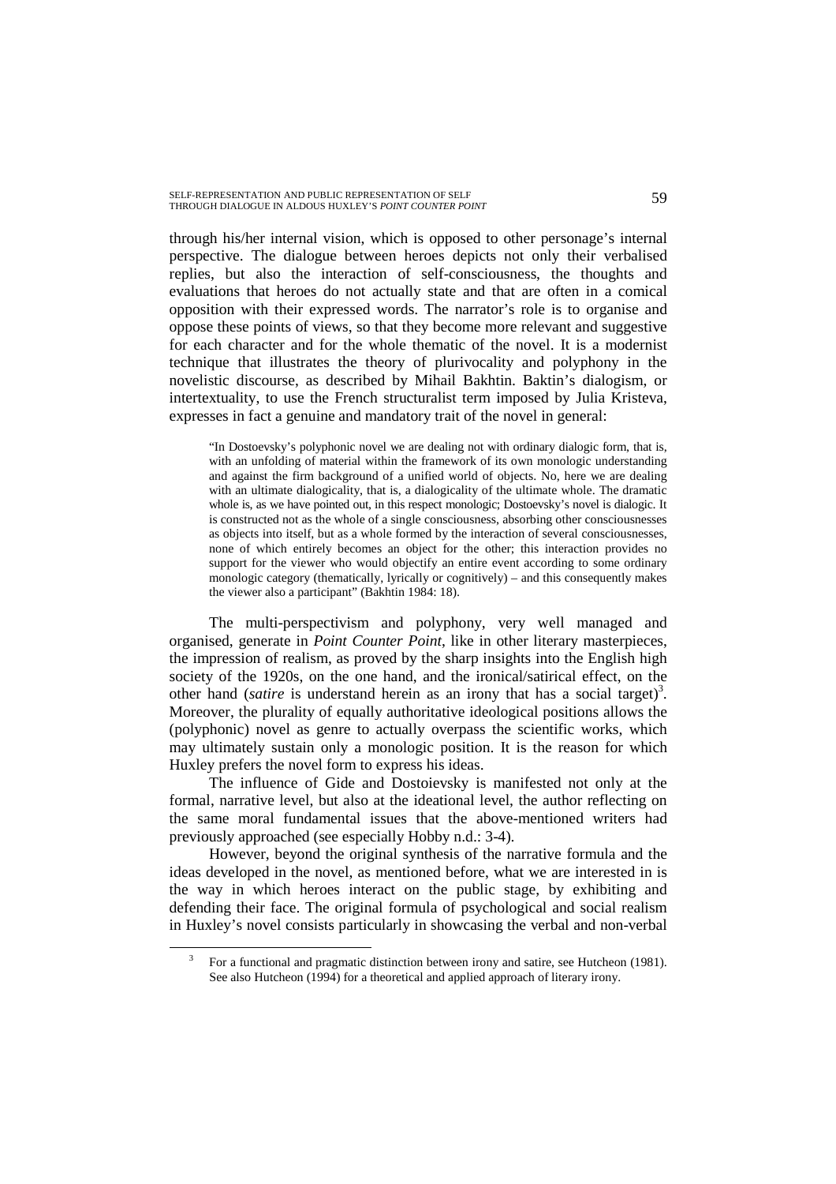through his/her internal vision, which is opposed to other personage's internal perspective. The dialogue between heroes depicts not only their verbalised replies, but also the interaction of self-consciousness, the thoughts and evaluations that heroes do not actually state and that are often in a comical opposition with their expressed words. The narrator's role is to organise and oppose these points of views, so that they become more relevant and suggestive for each character and for the whole thematic of the novel. It is a modernist technique that illustrates the theory of plurivocality and polyphony in the novelistic discourse, as described by Mihail Bakhtin. Baktin's dialogism, or intertextuality, to use the French structuralist term imposed by Julia Kristeva, expresses in fact a genuine and mandatory trait of the novel in general:

"In Dostoevsky's polyphonic novel we are dealing not with ordinary dialogic form, that is, with an unfolding of material within the framework of its own monologic understanding and against the firm background of a unified world of objects. No, here we are dealing with an ultimate dialogicality, that is, a dialogicality of the ultimate whole. The dramatic whole is, as we have pointed out, in this respect monologic; Dostoevsky's novel is dialogic. It is constructed not as the whole of a single consciousness, absorbing other consciousnesses as objects into itself, but as a whole formed by the interaction of several consciousnesses, none of which entirely becomes an object for the other; this interaction provides no support for the viewer who would objectify an entire event according to some ordinary monologic category (thematically, lyrically or cognitively) – and this consequently makes the viewer also a participant" (Bakhtin 1984: 18).

The multi-perspectivism and polyphony, very well managed and organised, generate in *Point Counter Point*, like in other literary masterpieces, the impression of realism, as proved by the sharp insights into the English high society of the 1920s, on the one hand, and the ironical/satirical effect, on the other hand (*satire* is understand herein as an irony that has a social target)<sup>3</sup>. Moreover, the plurality of equally authoritative ideological positions allows the (polyphonic) novel as genre to actually overpass the scientific works, which may ultimately sustain only a monologic position. It is the reason for which Huxley prefers the novel form to express his ideas.

The influence of Gide and Dostoievsky is manifested not only at the formal, narrative level, but also at the ideational level, the author reflecting on the same moral fundamental issues that the above-mentioned writers had previously approached (see especially Hobby n.d.: 3-4).

However, beyond the original synthesis of the narrative formula and the ideas developed in the novel, as mentioned before, what we are interested in is the way in which heroes interact on the public stage, by exhibiting and defending their face. The original formula of psychological and social realism in Huxley's novel consists particularly in showcasing the verbal and non-verbal

l

<sup>3</sup> For a functional and pragmatic distinction between irony and satire, see Hutcheon (1981). See also Hutcheon (1994) for a theoretical and applied approach of literary irony.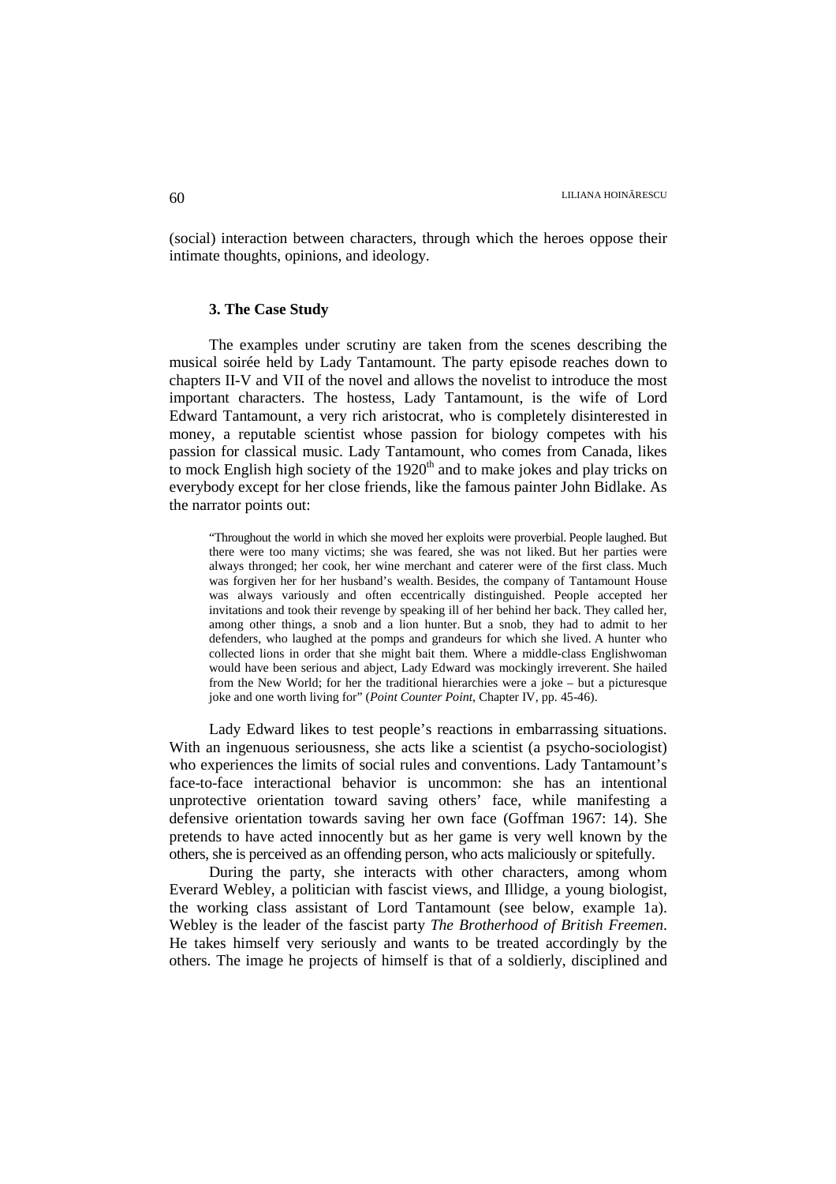(social) interaction between characters, through which the heroes oppose their intimate thoughts, opinions, and ideology.

## **3. The Case Study**

The examples under scrutiny are taken from the scenes describing the musical soirée held by Lady Tantamount. The party episode reaches down to chapters II-V and VII of the novel and allows the novelist to introduce the most important characters. The hostess, Lady Tantamount, is the wife of Lord Edward Tantamount, a very rich aristocrat, who is completely disinterested in money, a reputable scientist whose passion for biology competes with his passion for classical music. Lady Tantamount, who comes from Canada, likes to mock English high society of the  $1920<sup>th</sup>$  and to make jokes and play tricks on everybody except for her close friends, like the famous painter John Bidlake. As the narrator points out:

"Throughout the world in which she moved her exploits were proverbial. People laughed. But there were too many victims; she was feared, she was not liked. But her parties were always thronged; her cook, her wine merchant and caterer were of the first class. Much was forgiven her for her husband's wealth. Besides, the company of Tantamount House was always variously and often eccentrically distinguished. People accepted her invitations and took their revenge by speaking ill of her behind her back. They called her, among other things, a snob and a lion hunter. But a snob, they had to admit to her defenders, who laughed at the pomps and grandeurs for which she lived. A hunter who collected lions in order that she might bait them. Where a middle-class Englishwoman would have been serious and abject, Lady Edward was mockingly irreverent. She hailed from the New World; for her the traditional hierarchies were a joke – but a picturesque joke and one worth living for" (*Point Counter Point*, Chapter IV, pp. 45-46).

Lady Edward likes to test people's reactions in embarrassing situations. With an ingenuous seriousness, she acts like a scientist (a psycho-sociologist) who experiences the limits of social rules and conventions. Lady Tantamount's face-to-face interactional behavior is uncommon: she has an intentional unprotective orientation toward saving others' face, while manifesting a defensive orientation towards saving her own face (Goffman 1967: 14). She pretends to have acted innocently but as her game is very well known by the others, she is perceived as an offending person, who acts maliciously or spitefully.

During the party, she interacts with other characters, among whom Everard Webley, a politician with fascist views, and Illidge, a young biologist, the working class assistant of Lord Tantamount (see below, example 1a). Webley is the leader of the fascist party *The Brotherhood of British Freemen*. He takes himself very seriously and wants to be treated accordingly by the others. The image he projects of himself is that of a soldierly, disciplined and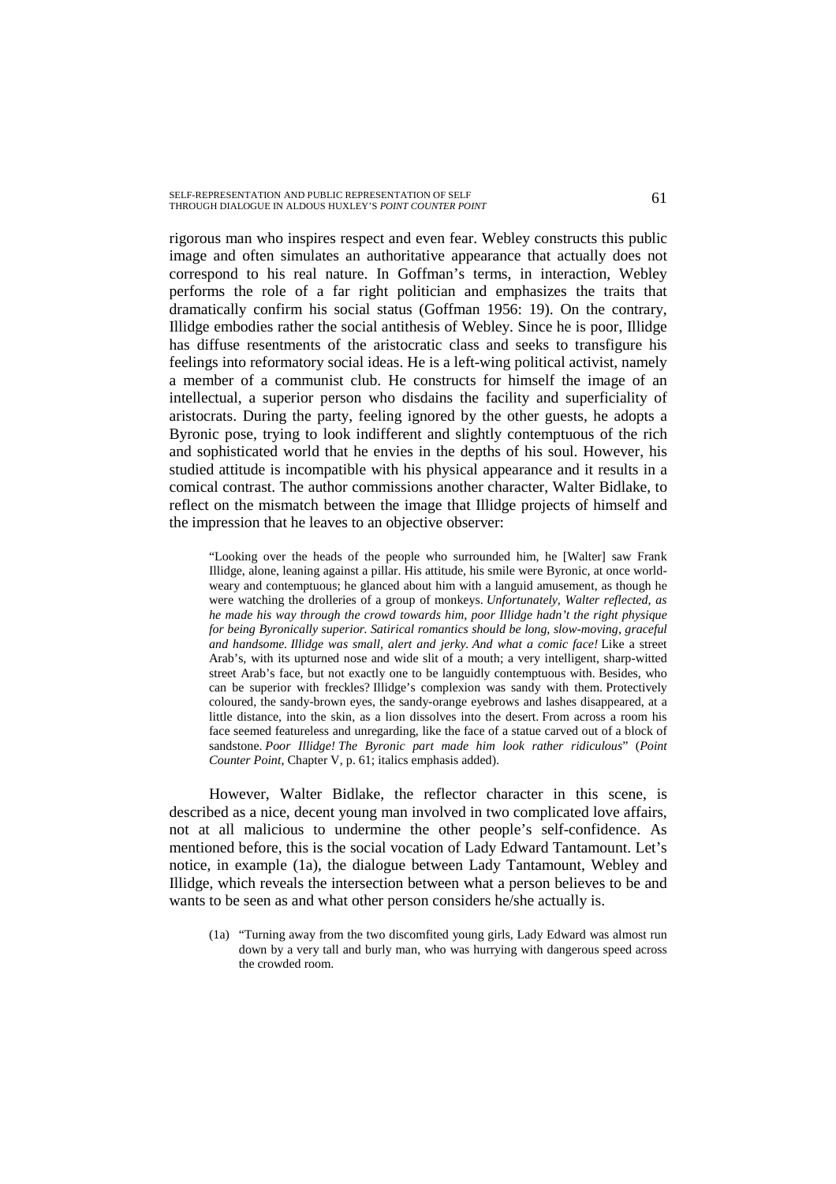rigorous man who inspires respect and even fear. Webley constructs this public image and often simulates an authoritative appearance that actually does not correspond to his real nature. In Goffman's terms, in interaction, Webley performs the role of a far right politician and emphasizes the traits that dramatically confirm his social status (Goffman 1956: 19). On the contrary, Illidge embodies rather the social antithesis of Webley. Since he is poor, Illidge has diffuse resentments of the aristocratic class and seeks to transfigure his feelings into reformatory social ideas. He is a left-wing political activist, namely a member of a communist club. He constructs for himself the image of an intellectual, a superior person who disdains the facility and superficiality of aristocrats. During the party, feeling ignored by the other guests, he adopts a Byronic pose, trying to look indifferent and slightly contemptuous of the rich and sophisticated world that he envies in the depths of his soul. However, his studied attitude is incompatible with his physical appearance and it results in a comical contrast. The author commissions another character, Walter Bidlake, to reflect on the mismatch between the image that Illidge projects of himself and the impression that he leaves to an objective observer:

"Looking over the heads of the people who surrounded him, he [Walter] saw Frank Illidge, alone, leaning against a pillar. His attitude, his smile were Byronic, at once worldweary and contemptuous; he glanced about him with a languid amusement, as though he were watching the drolleries of a group of monkeys. *Unfortunately, Walter reflected, as he made his way through the crowd towards him, poor Illidge hadn't the right physique for being Byronically superior. Satirical romantics should be long, slow-moving, graceful and handsome. Illidge was small, alert and jerky. And what a comic face!* Like a street Arab's, with its upturned nose and wide slit of a mouth; a very intelligent, sharp-witted street Arab's face, but not exactly one to be languidly contemptuous with. Besides, who can be superior with freckles? Illidge's complexion was sandy with them. Protectively coloured, the sandy-brown eyes, the sandy-orange eyebrows and lashes disappeared, at a little distance, into the skin, as a lion dissolves into the desert. From across a room his face seemed featureless and unregarding, like the face of a statue carved out of a block of sandstone. *Poor Illidge! The Byronic part made him look rather ridiculous*" (*Point Counter Point*, Chapter V, p. 61; italics emphasis added).

However, Walter Bidlake, the reflector character in this scene, is described as a nice, decent young man involved in two complicated love affairs, not at all malicious to undermine the other people's self-confidence. As mentioned before, this is the social vocation of Lady Edward Tantamount. Let's notice, in example (1a), the dialogue between Lady Tantamount, Webley and Illidge, which reveals the intersection between what a person believes to be and wants to be seen as and what other person considers he/she actually is.

(1a)"Turning away from the two discomfited young girls, Lady Edward was almost run down by a very tall and burly man, who was hurrying with dangerous speed across the crowded room.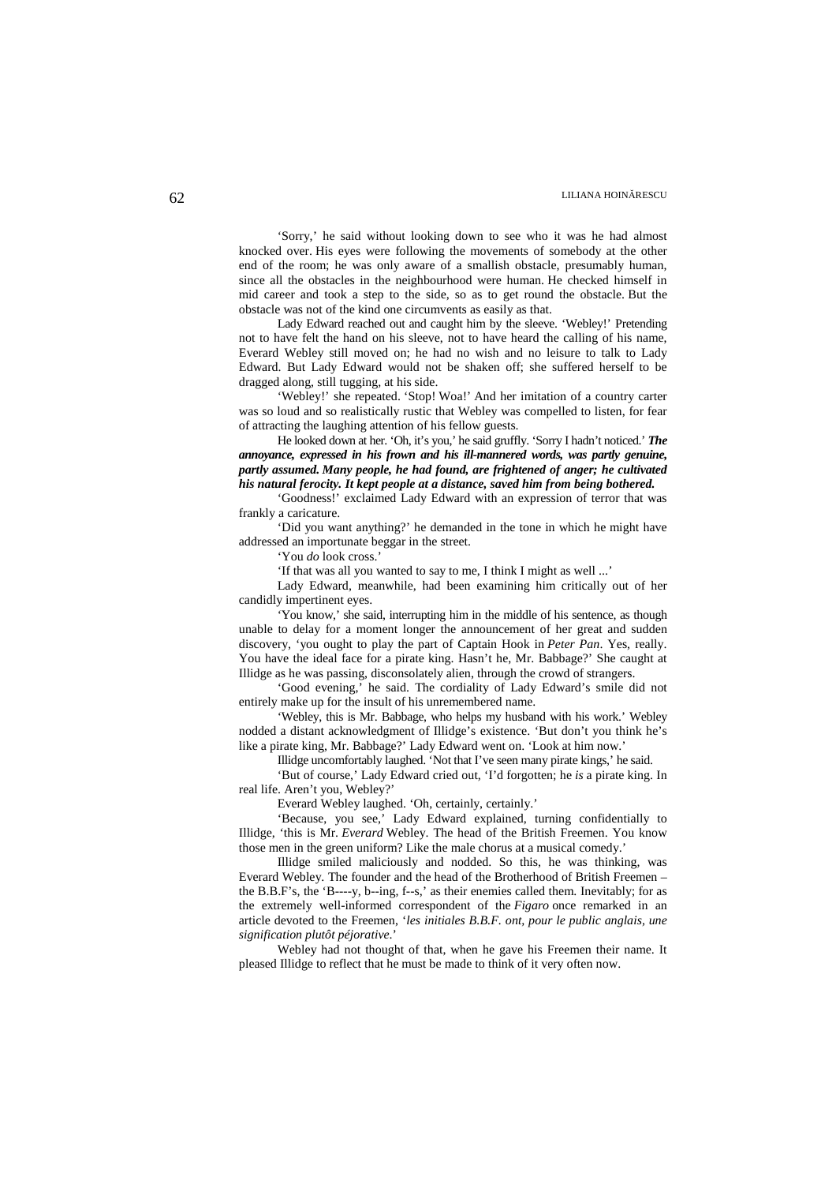'Sorry,' he said without looking down to see who it was he had almost knocked over. His eyes were following the movements of somebody at the other end of the room; he was only aware of a smallish obstacle, presumably human, since all the obstacles in the neighbourhood were human. He checked himself in mid career and took a step to the side, so as to get round the obstacle. But the obstacle was not of the kind one circumvents as easily as that.

Lady Edward reached out and caught him by the sleeve. 'Webley!' Pretending not to have felt the hand on his sleeve, not to have heard the calling of his name, Everard Webley still moved on; he had no wish and no leisure to talk to Lady Edward. But Lady Edward would not be shaken off; she suffered herself to be dragged along, still tugging, at his side.

'Webley!' she repeated. 'Stop! Woa!' And her imitation of a country carter was so loud and so realistically rustic that Webley was compelled to listen, for fear of attracting the laughing attention of his fellow guests.

He looked down at her. 'Oh, it's you,' he said gruffly. 'Sorry I hadn't noticed.' *The annoyance, expressed in his frown and his ill-mannered words, was partly genuine, partly assumed. Many people, he had found, are frightened of anger; he cultivated his natural ferocity. It kept people at a distance, saved him from being bothered.* 

'Goodness!' exclaimed Lady Edward with an expression of terror that was frankly a caricature.

'Did you want anything?' he demanded in the tone in which he might have addressed an importunate beggar in the street.

'You *do* look cross.'

'If that was all you wanted to say to me, I think I might as well ...'

Lady Edward, meanwhile, had been examining him critically out of her candidly impertinent eyes.

'You know,' she said, interrupting him in the middle of his sentence, as though unable to delay for a moment longer the announcement of her great and sudden discovery, 'you ought to play the part of Captain Hook in *Peter Pan*. Yes, really. You have the ideal face for a pirate king. Hasn't he, Mr. Babbage?' She caught at Illidge as he was passing, disconsolately alien, through the crowd of strangers.

'Good evening,' he said. The cordiality of Lady Edward's smile did not entirely make up for the insult of his unremembered name.

'Webley, this is Mr. Babbage, who helps my husband with his work.' Webley nodded a distant acknowledgment of Illidge's existence. 'But don't you think he's like a pirate king, Mr. Babbage?' Lady Edward went on. 'Look at him now.'

Illidge uncomfortably laughed. 'Not that I've seen many pirate kings,' he said.

'But of course,' Lady Edward cried out, 'I'd forgotten; he *is* a pirate king. In real life. Aren't you, Webley?'

Everard Webley laughed. 'Oh, certainly, certainly.'

'Because, you see,' Lady Edward explained, turning confidentially to Illidge, 'this is Mr. *Everard* Webley. The head of the British Freemen. You know those men in the green uniform? Like the male chorus at a musical comedy.'

Illidge smiled maliciously and nodded. So this, he was thinking, was Everard Webley. The founder and the head of the Brotherhood of British Freemen – the B.B.F's, the 'B----y, b--ing, f--s,' as their enemies called them. Inevitably; for as the extremely well-informed correspondent of the *Figaro* once remarked in an article devoted to the Freemen, '*les initiales B.B.F. ont, pour le public anglais, une signification plutôt péjorative*.'

Webley had not thought of that, when he gave his Freemen their name. It pleased Illidge to reflect that he must be made to think of it very often now.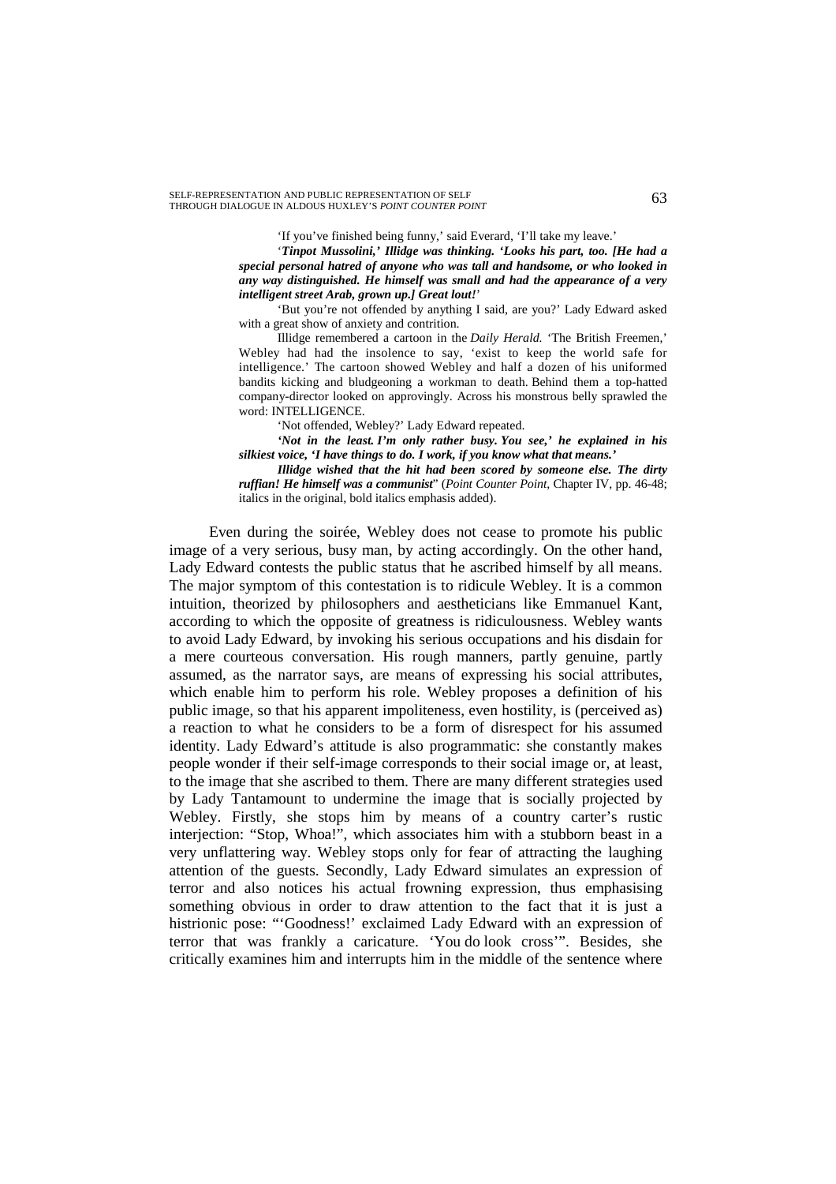'If you've finished being funny,' said Everard, 'I'll take my leave.'

'*Tinpot Mussolini,' Illidge was thinking. 'Looks his part, too. [He had a special personal hatred of anyone who was tall and handsome, or who looked in any way distinguished. He himself was small and had the appearance of a very intelligent street Arab, grown up.] Great lout!*'

'But you're not offended by anything I said, are you?' Lady Edward asked with a great show of anxiety and contrition.

Illidge remembered a cartoon in the *Daily Herald.* 'The British Freemen,' Webley had had the insolence to say, 'exist to keep the world safe for intelligence.' The cartoon showed Webley and half a dozen of his uniformed bandits kicking and bludgeoning a workman to death. Behind them a top-hatted company-director looked on approvingly. Across his monstrous belly sprawled the word: INTELLIGENCE.

'Not offended, Webley?' Lady Edward repeated.

*'Not in the least. I'm only rather busy. You see,' he explained in his silkiest voice, 'I have things to do. I work, if you know what that means.'* 

*Illidge wished that the hit had been scored by someone else. The dirty ruffian! He himself was a communist*" (*Point Counter Point*, Chapter IV, pp. 46-48; italics in the original, bold italics emphasis added).

Even during the soirée, Webley does not cease to promote his public image of a very serious, busy man, by acting accordingly. On the other hand, Lady Edward contests the public status that he ascribed himself by all means. The major symptom of this contestation is to ridicule Webley. It is a common intuition, theorized by philosophers and aestheticians like Emmanuel Kant, according to which the opposite of greatness is ridiculousness. Webley wants to avoid Lady Edward, by invoking his serious occupations and his disdain for a mere courteous conversation. His rough manners, partly genuine, partly assumed, as the narrator says, are means of expressing his social attributes, which enable him to perform his role. Webley proposes a definition of his public image, so that his apparent impoliteness, even hostility, is (perceived as) a reaction to what he considers to be a form of disrespect for his assumed identity. Lady Edward's attitude is also programmatic: she constantly makes people wonder if their self-image corresponds to their social image or, at least, to the image that she ascribed to them. There are many different strategies used by Lady Tantamount to undermine the image that is socially projected by Webley. Firstly, she stops him by means of a country carter's rustic interjection: "Stop, Whoa!", which associates him with a stubborn beast in a very unflattering way. Webley stops only for fear of attracting the laughing attention of the guests. Secondly, Lady Edward simulates an expression of terror and also notices his actual frowning expression, thus emphasising something obvious in order to draw attention to the fact that it is just a histrionic pose: "'Goodness!' exclaimed Lady Edward with an expression of terror that was frankly a caricature. 'You do look cross'". Besides, she critically examines him and interrupts him in the middle of the sentence where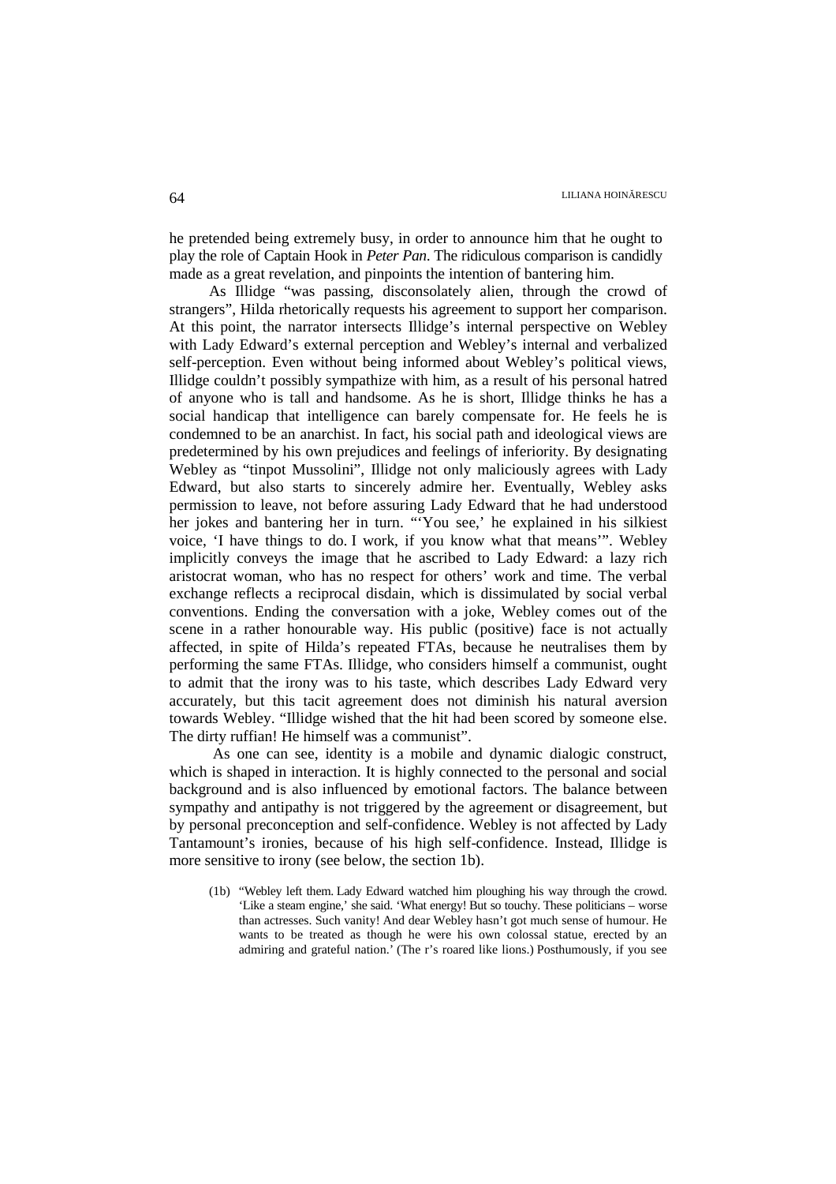he pretended being extremely busy, in order to announce him that he ought to play the role of Captain Hook in *Peter Pan*. The ridiculous comparison is candidly made as a great revelation, and pinpoints the intention of bantering him.

As Illidge "was passing, disconsolately alien, through the crowd of strangers", Hilda rhetorically requests his agreement to support her comparison. At this point, the narrator intersects Illidge's internal perspective on Webley with Lady Edward's external perception and Webley's internal and verbalized self-perception. Even without being informed about Webley's political views, Illidge couldn't possibly sympathize with him, as a result of his personal hatred of anyone who is tall and handsome. As he is short, Illidge thinks he has a social handicap that intelligence can barely compensate for. He feels he is condemned to be an anarchist. In fact, his social path and ideological views are predetermined by his own prejudices and feelings of inferiority. By designating Webley as "tinpot Mussolini", Illidge not only maliciously agrees with Lady Edward, but also starts to sincerely admire her. Eventually, Webley asks permission to leave, not before assuring Lady Edward that he had understood her jokes and bantering her in turn. "'You see,' he explained in his silkiest voice, 'I have things to do. I work, if you know what that means'". Webley implicitly conveys the image that he ascribed to Lady Edward: a lazy rich aristocrat woman, who has no respect for others' work and time. The verbal exchange reflects a reciprocal disdain, which is dissimulated by social verbal conventions. Ending the conversation with a joke, Webley comes out of the scene in a rather honourable way. His public (positive) face is not actually affected, in spite of Hilda's repeated FTAs, because he neutralises them by performing the same FTAs. Illidge, who considers himself a communist, ought to admit that the irony was to his taste, which describes Lady Edward very accurately, but this tacit agreement does not diminish his natural aversion towards Webley. "Illidge wished that the hit had been scored by someone else. The dirty ruffian! He himself was a communist".

 As one can see, identity is a mobile and dynamic dialogic construct, which is shaped in interaction. It is highly connected to the personal and social background and is also influenced by emotional factors. The balance between sympathy and antipathy is not triggered by the agreement or disagreement, but by personal preconception and self-confidence. Webley is not affected by Lady Tantamount's ironies, because of his high self-confidence. Instead, Illidge is more sensitive to irony (see below, the section 1b).

(1b) "Webley left them. Lady Edward watched him ploughing his way through the crowd. 'Like a steam engine,' she said. 'What energy! But so touchy. These politicians – worse than actresses. Such vanity! And dear Webley hasn't got much sense of humour. He wants to be treated as though he were his own colossal statue, erected by an admiring and grateful nation.' (The r's roared like lions.) Posthumously, if you see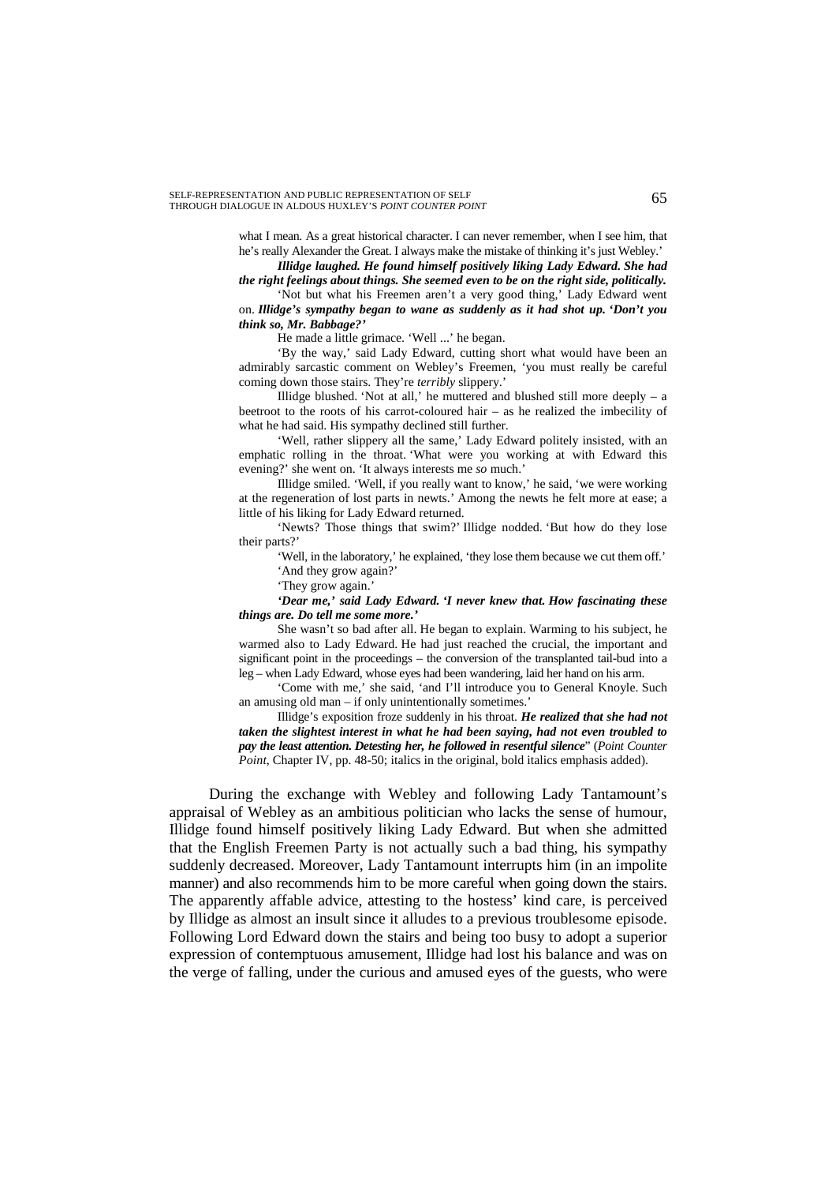what I mean. As a great historical character. I can never remember, when I see him, that he's really Alexander the Great. I always make the mistake of thinking it's just Webley.'

*Illidge laughed. He found himself positively liking Lady Edward. She had the right feelings about things. She seemed even to be on the right side, politically.* 

'Not but what his Freemen aren't a very good thing,' Lady Edward went on. *Illidge's sympathy began to wane as suddenly as it had shot up. 'Don't you think so, Mr. Babbage?'*

He made a little grimace. 'Well ...' he began.

'By the way,' said Lady Edward, cutting short what would have been an admirably sarcastic comment on Webley's Freemen, 'you must really be careful coming down those stairs. They're *terribly* slippery.'

Illidge blushed. 'Not at all,' he muttered and blushed still more deeply  $-$  a beetroot to the roots of his carrot-coloured hair – as he realized the imbecility of what he had said. His sympathy declined still further.

'Well, rather slippery all the same,' Lady Edward politely insisted, with an emphatic rolling in the throat. 'What were you working at with Edward this evening?' she went on. 'It always interests me *so* much.'

Illidge smiled. 'Well, if you really want to know,' he said, 'we were working at the regeneration of lost parts in newts.' Among the newts he felt more at ease; a little of his liking for Lady Edward returned.

'Newts? Those things that swim?' Illidge nodded. 'But how do they lose their parts?'

'Well, in the laboratory,' he explained, 'they lose them because we cut them off.' 'And they grow again?'

'They grow again.'

*'Dear me,' said Lady Edward. 'I never knew that. How fascinating these things are. Do tell me some more.'* 

She wasn't so bad after all. He began to explain. Warming to his subject, he warmed also to Lady Edward. He had just reached the crucial, the important and significant point in the proceedings – the conversion of the transplanted tail-bud into a leg – when Lady Edward, whose eyes had been wandering, laid her hand on his arm.

'Come with me,' she said, 'and I'll introduce you to General Knoyle. Such an amusing old man – if only unintentionally sometimes.'

Illidge's exposition froze suddenly in his throat. *He realized that she had not taken the slightest interest in what he had been saying, had not even troubled to pay the least attention. Detesting her, he followed in resentful silence*" (*Point Counter Point*, Chapter IV, pp. 48-50; italics in the original, bold italics emphasis added).

During the exchange with Webley and following Lady Tantamount's appraisal of Webley as an ambitious politician who lacks the sense of humour, Illidge found himself positively liking Lady Edward. But when she admitted that the English Freemen Party is not actually such a bad thing, his sympathy suddenly decreased. Moreover, Lady Tantamount interrupts him (in an impolite manner) and also recommends him to be more careful when going down the stairs. The apparently affable advice, attesting to the hostess' kind care, is perceived by Illidge as almost an insult since it alludes to a previous troublesome episode. Following Lord Edward down the stairs and being too busy to adopt a superior expression of contemptuous amusement, Illidge had lost his balance and was on the verge of falling, under the curious and amused eyes of the guests, who were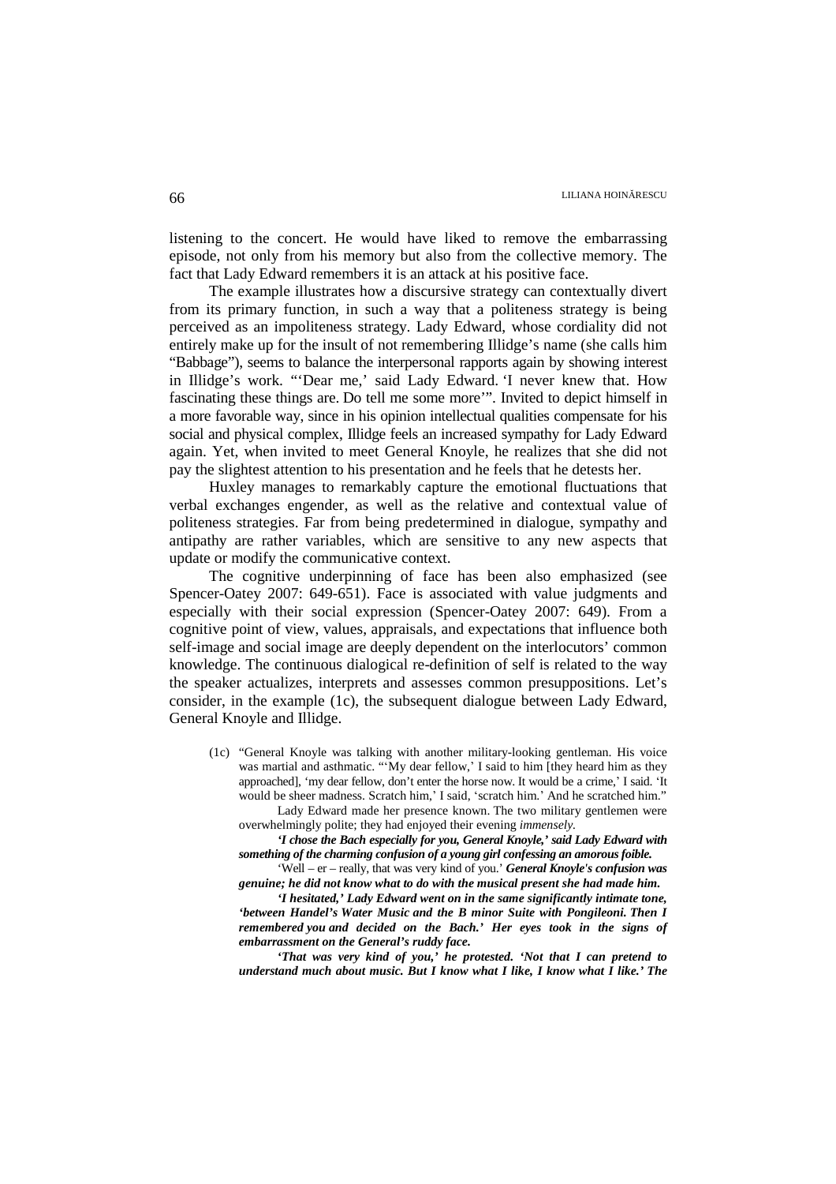listening to the concert. He would have liked to remove the embarrassing episode, not only from his memory but also from the collective memory. The fact that Lady Edward remembers it is an attack at his positive face.

The example illustrates how a discursive strategy can contextually divert from its primary function, in such a way that a politeness strategy is being perceived as an impoliteness strategy. Lady Edward, whose cordiality did not entirely make up for the insult of not remembering Illidge's name (she calls him "Babbage"), seems to balance the interpersonal rapports again by showing interest in Illidge's work. "'Dear me,' said Lady Edward. 'I never knew that. How fascinating these things are. Do tell me some more'". Invited to depict himself in a more favorable way, since in his opinion intellectual qualities compensate for his social and physical complex, Illidge feels an increased sympathy for Lady Edward again. Yet, when invited to meet General Knoyle, he realizes that she did not pay the slightest attention to his presentation and he feels that he detests her.

Huxley manages to remarkably capture the emotional fluctuations that verbal exchanges engender, as well as the relative and contextual value of politeness strategies. Far from being predetermined in dialogue, sympathy and antipathy are rather variables, which are sensitive to any new aspects that update or modify the communicative context.

The cognitive underpinning of face has been also emphasized (see Spencer-Oatey 2007: 649-651). Face is associated with value judgments and especially with their social expression (Spencer-Oatey 2007: 649). From a cognitive point of view, values, appraisals, and expectations that influence both self-image and social image are deeply dependent on the interlocutors' common knowledge. The continuous dialogical re-definition of self is related to the way the speaker actualizes, interprets and assesses common presuppositions. Let's consider, in the example (1c), the subsequent dialogue between Lady Edward, General Knoyle and Illidge.

(1c)"General Knoyle was talking with another military-looking gentleman. His voice was martial and asthmatic. "<sup>"</sup>My dear fellow,' I said to him [they heard him as they approached], 'my dear fellow, don't enter the horse now. It would be a crime,' I said. ʻIt would be sheer madness. Scratch him,' I said, 'scratch him.' And he scratched him." Lady Edward made her presence known. The two military gentlemen were overwhelmingly polite; they had enjoyed their evening *immensely.*

*'I chose the Bach especially for you, General Knoyle,' said Lady Edward with something of the charming confusion of a young girl confessing an amorous foible.* 

'Well – er – really, that was very kind of you.' *General Knoyle's confusion was genuine; he did not know what to do with the musical present she had made him.* 

*'I hesitated,' Lady Edward went on in the same significantly intimate tone, 'between Handel's Water Music and the B minor Suite with Pongileoni. Then I remembered you and decided on the Bach.' Her eyes took in the signs of embarrassment on the General's ruddy face.* 

*'That was very kind of you,' he protested. 'Not that I can pretend to understand much about music. But I know what I like, I know what I like.' The*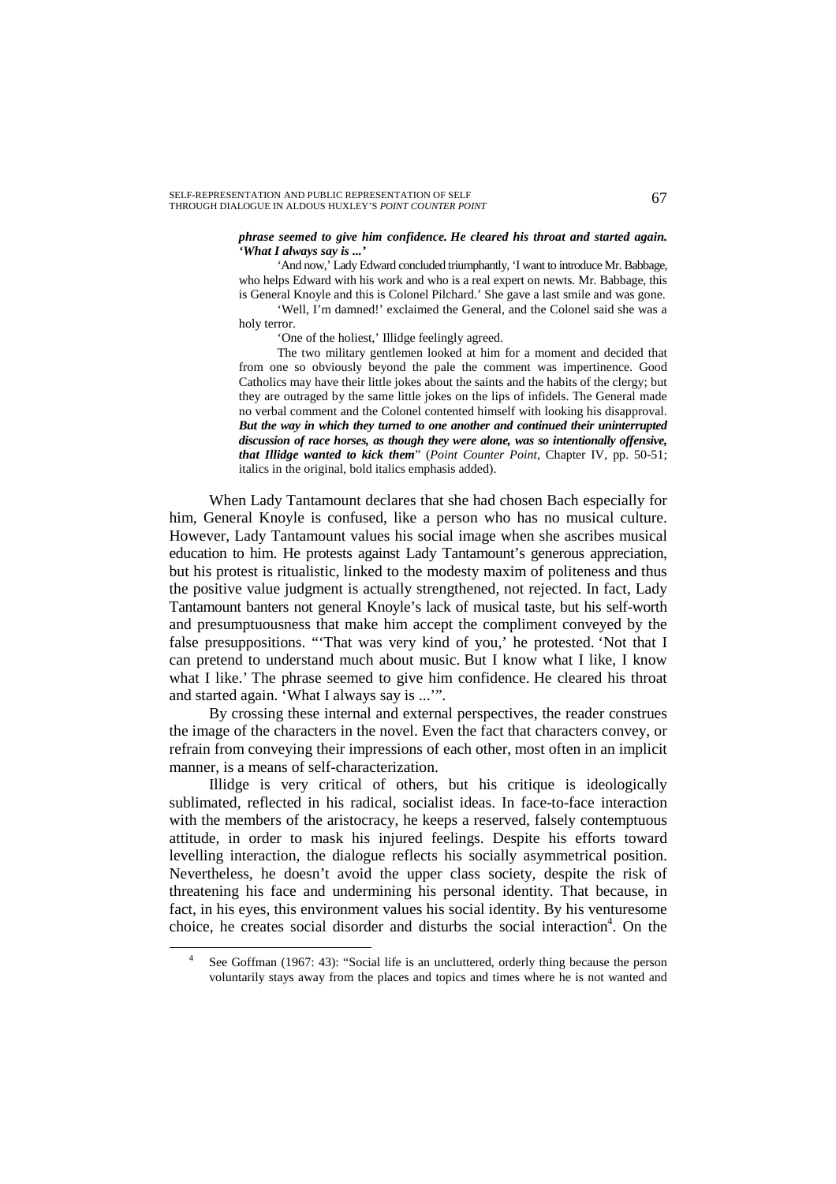*phrase seemed to give him confidence. He cleared his throat and started again. 'What I always say is ...'*

'And now,' Lady Edward concluded triumphantly, 'I want to introduce Mr. Babbage, who helps Edward with his work and who is a real expert on newts. Mr. Babbage, this is General Knoyle and this is Colonel Pilchard.' She gave a last smile and was gone.

'Well, I'm damned!' exclaimed the General, and the Colonel said she was a holy terror.

'One of the holiest,' Illidge feelingly agreed.

The two military gentlemen looked at him for a moment and decided that from one so obviously beyond the pale the comment was impertinence. Good Catholics may have their little jokes about the saints and the habits of the clergy; but they are outraged by the same little jokes on the lips of infidels. The General made no verbal comment and the Colonel contented himself with looking his disapproval. *But the way in which they turned to one another and continued their uninterrupted discussion of race horses, as though they were alone, was so intentionally offensive, that Illidge wanted to kick them*" (*Point Counter Point*, Chapter IV, pp. 50-51; italics in the original, bold italics emphasis added).

When Lady Tantamount declares that she had chosen Bach especially for him, General Knoyle is confused, like a person who has no musical culture. However, Lady Tantamount values his social image when she ascribes musical education to him. He protests against Lady Tantamount's generous appreciation, but his protest is ritualistic, linked to the modesty maxim of politeness and thus the positive value judgment is actually strengthened, not rejected. In fact, Lady Tantamount banters not general Knoyle's lack of musical taste, but his self-worth and presumptuousness that make him accept the compliment conveyed by the false presuppositions. "'That was very kind of you,' he protested. 'Not that I can pretend to understand much about music. But I know what I like, I know what I like.' The phrase seemed to give him confidence. He cleared his throat and started again. 'What I always say is ...'"*.*

By crossing these internal and external perspectives, the reader construes the image of the characters in the novel. Even the fact that characters convey, or refrain from conveying their impressions of each other, most often in an implicit manner, is a means of self-characterization.

Illidge is very critical of others, but his critique is ideologically sublimated, reflected in his radical, socialist ideas. In face-to-face interaction with the members of the aristocracy, he keeps a reserved, falsely contemptuous attitude, in order to mask his injured feelings. Despite his efforts toward levelling interaction, the dialogue reflects his socially asymmetrical position. Nevertheless, he doesn't avoid the upper class society, despite the risk of threatening his face and undermining his personal identity. That because, in fact, in his eyes, this environment values his social identity. By his venturesome choice, he creates social disorder and disturbs the social interaction<sup>4</sup>. On the l

<sup>4</sup> See Goffman (1967: 43): "Social life is an uncluttered, orderly thing because the person voluntarily stays away from the places and topics and times where he is not wanted and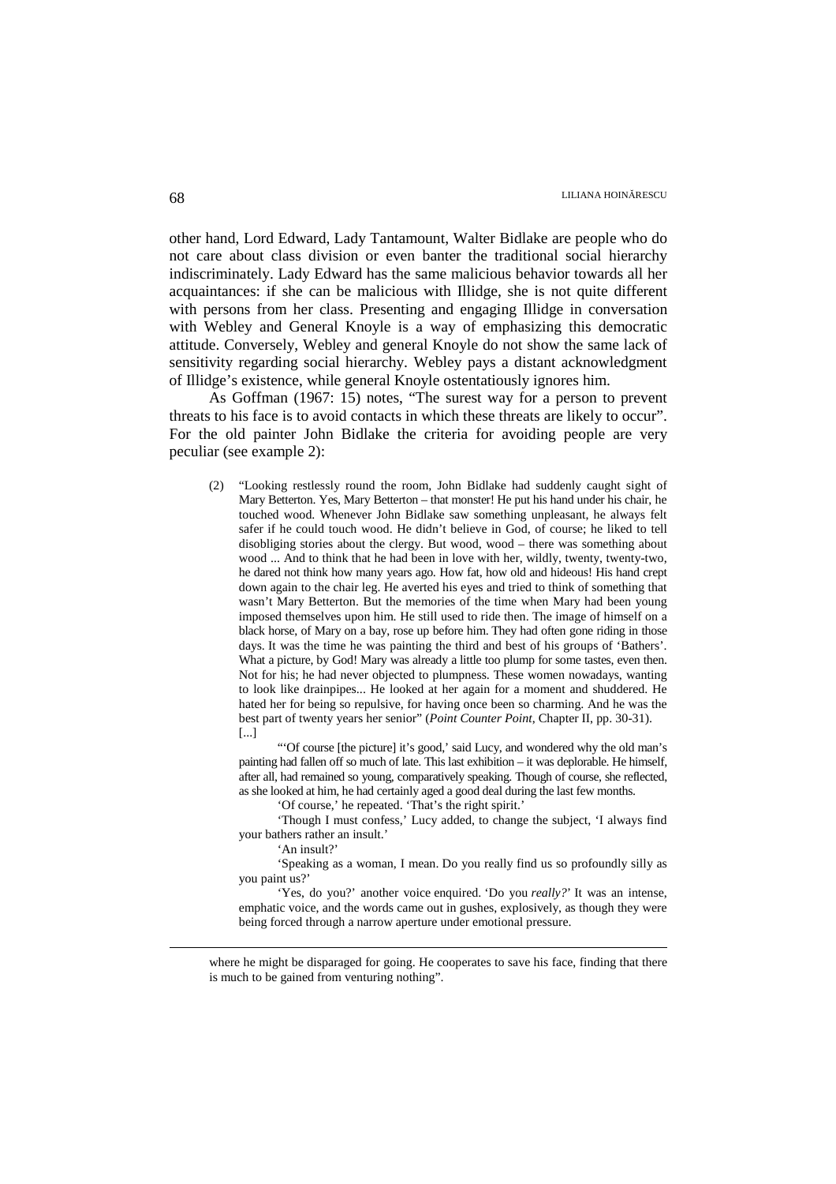other hand, Lord Edward, Lady Tantamount, Walter Bidlake are people who do not care about class division or even banter the traditional social hierarchy indiscriminately. Lady Edward has the same malicious behavior towards all her acquaintances: if she can be malicious with Illidge, she is not quite different with persons from her class. Presenting and engaging Illidge in conversation with Webley and General Knoyle is a way of emphasizing this democratic attitude. Conversely, Webley and general Knoyle do not show the same lack of sensitivity regarding social hierarchy. Webley pays a distant acknowledgment of Illidge's existence, while general Knoyle ostentatiously ignores him.

As Goffman (1967: 15) notes, "The surest way for a person to prevent threats to his face is to avoid contacts in which these threats are likely to occur". For the old painter John Bidlake the criteria for avoiding people are very peculiar (see example 2):

(2) "Looking restlessly round the room, John Bidlake had suddenly caught sight of Mary Betterton. Yes, Mary Betterton – that monster! He put his hand under his chair, he touched wood. Whenever John Bidlake saw something unpleasant, he always felt safer if he could touch wood. He didn't believe in God, of course; he liked to tell disobliging stories about the clergy. But wood, wood – there was something about wood ... And to think that he had been in love with her, wildly, twenty, twenty-two, he dared not think how many years ago. How fat, how old and hideous! His hand crept down again to the chair leg. He averted his eyes and tried to think of something that wasn't Mary Betterton. But the memories of the time when Mary had been young imposed themselves upon him. He still used to ride then. The image of himself on a black horse, of Mary on a bay, rose up before him. They had often gone riding in those days. It was the time he was painting the third and best of his groups of 'Bathers'. What a picture, by God! Mary was already a little too plump for some tastes, even then. Not for his; he had never objected to plumpness. These women nowadays, wanting to look like drainpipes... He looked at her again for a moment and shuddered. He hated her for being so repulsive, for having once been so charming. And he was the best part of twenty years her senior" (*Point Counter Point*, Chapter II, pp. 30-31). [...]

"'Of course [the picture] it's good,' said Lucy, and wondered why the old man's painting had fallen off so much of late. This last exhibition – it was deplorable. He himself, after all, had remained so young, comparatively speaking. Though of course, she reflected, as she looked at him, he had certainly aged a good deal during the last few months.

'Of course,' he repeated. 'That's the right spirit.'

'Though I must confess,' Lucy added, to change the subject, 'I always find your bathers rather an insult.'

'An insult?'

 $\overline{a}$ 

'Speaking as a woman, I mean. Do you really find us so profoundly silly as you paint us?'

'Yes, do you?' another voice enquired. 'Do you *really?*' It was an intense, emphatic voice, and the words came out in gushes, explosively, as though they were being forced through a narrow aperture under emotional pressure.

where he might be disparaged for going. He cooperates to save his face, finding that there is much to be gained from venturing nothing".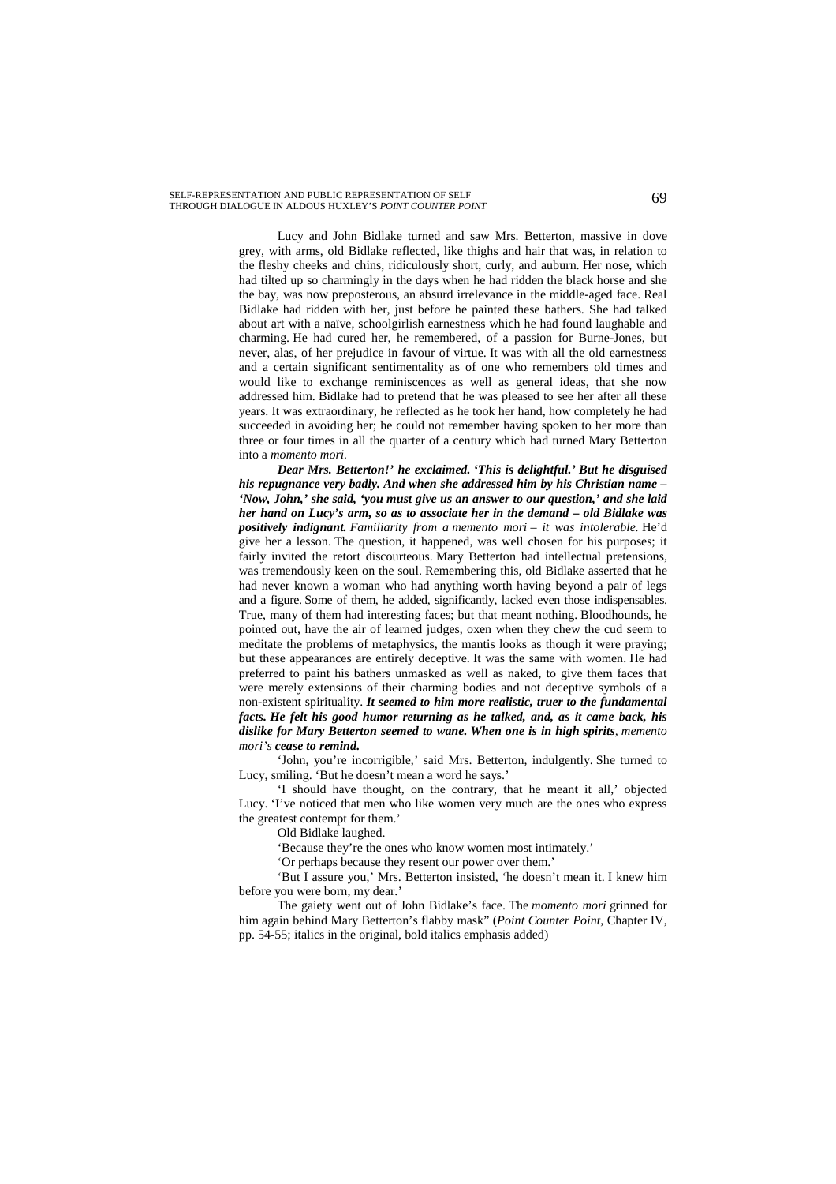Lucy and John Bidlake turned and saw Mrs. Betterton, massive in dove grey, with arms, old Bidlake reflected, like thighs and hair that was, in relation to the fleshy cheeks and chins, ridiculously short, curly, and auburn. Her nose, which had tilted up so charmingly in the days when he had ridden the black horse and she the bay, was now preposterous, an absurd irrelevance in the middle-aged face. Real Bidlake had ridden with her, just before he painted these bathers. She had talked about art with a naïve, schoolgirlish earnestness which he had found laughable and charming. He had cured her, he remembered, of a passion for Burne-Jones, but never, alas, of her prejudice in favour of virtue. It was with all the old earnestness and a certain significant sentimentality as of one who remembers old times and would like to exchange reminiscences as well as general ideas, that she now addressed him. Bidlake had to pretend that he was pleased to see her after all these years. It was extraordinary, he reflected as he took her hand, how completely he had succeeded in avoiding her; he could not remember having spoken to her more than three or four times in all the quarter of a century which had turned Mary Betterton into a *momento mori.*

*Dear Mrs. Betterton!' he exclaimed. 'This is delightful.' But he disguised his repugnance very badly. And when she addressed him by his Christian name – 'Now, John,' she said, 'you must give us an answer to our question,' and she laid her hand on Lucy's arm, so as to associate her in the demand – old Bidlake was positively indignant. Familiarity from a memento mori – it was intolerable.* He'd give her a lesson. The question, it happened, was well chosen for his purposes; it fairly invited the retort discourteous. Mary Betterton had intellectual pretensions, was tremendously keen on the soul. Remembering this, old Bidlake asserted that he had never known a woman who had anything worth having beyond a pair of legs and a figure. Some of them, he added, significantly, lacked even those indispensables. True, many of them had interesting faces; but that meant nothing. Bloodhounds, he pointed out, have the air of learned judges, oxen when they chew the cud seem to meditate the problems of metaphysics, the mantis looks as though it were praying; but these appearances are entirely deceptive. It was the same with women. He had preferred to paint his bathers unmasked as well as naked, to give them faces that were merely extensions of their charming bodies and not deceptive symbols of a non-existent spirituality. *It seemed to him more realistic, truer to the fundamental facts. He felt his good humor returning as he talked, and, as it came back, his dislike for Mary Betterton seemed to wane. When one is in high spirits, memento mori's cease to remind.*

'John, you're incorrigible,' said Mrs. Betterton, indulgently. She turned to Lucy, smiling. 'But he doesn't mean a word he says.'

'I should have thought, on the contrary, that he meant it all,' objected Lucy. 'I've noticed that men who like women very much are the ones who express the greatest contempt for them.'

Old Bidlake laughed.

'Because they're the ones who know women most intimately.'

'Or perhaps because they resent our power over them.'

'But I assure you,' Mrs. Betterton insisted, 'he doesn't mean it. I knew him before you were born, my dear.

The gaiety went out of John Bidlake's face. The *momento mori* grinned for him again behind Mary Betterton's flabby mask" (*Point Counter Point*, Chapter IV, pp. 54-55; italics in the original, bold italics emphasis added)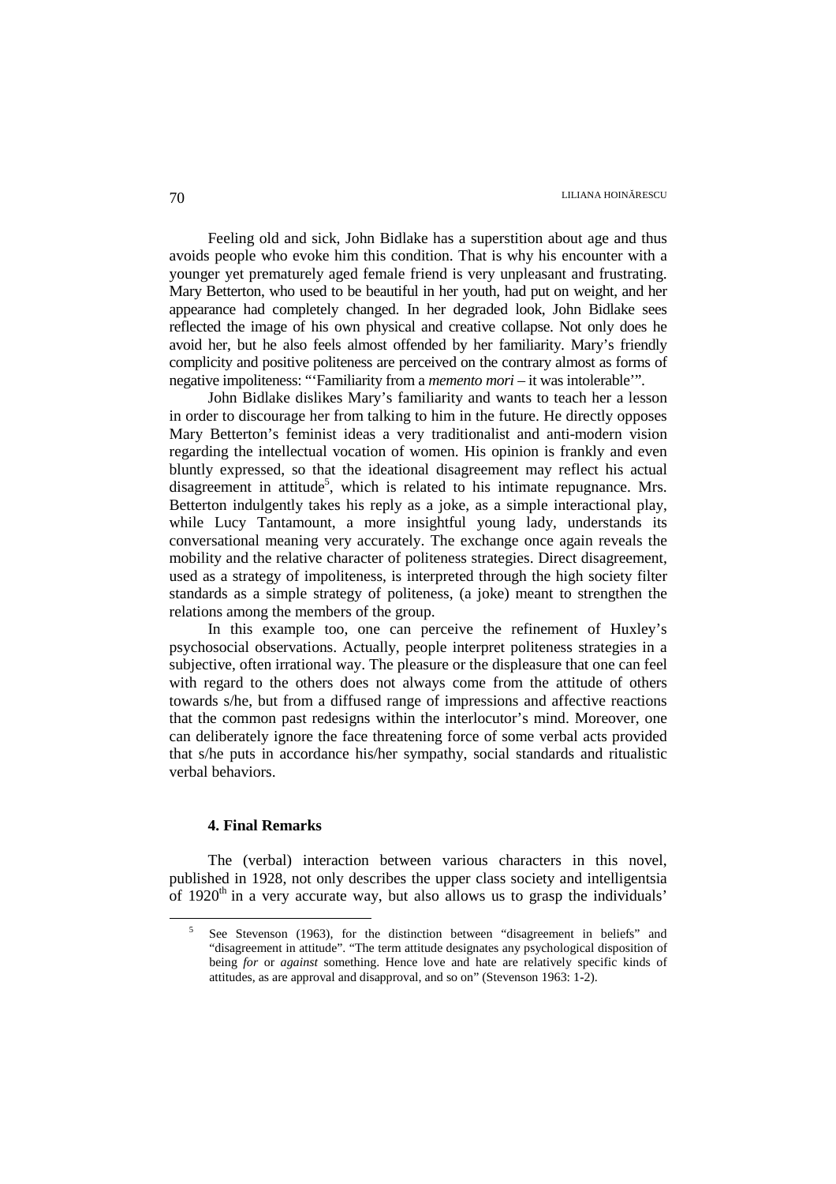Feeling old and sick, John Bidlake has a superstition about age and thus avoids people who evoke him this condition. That is why his encounter with a younger yet prematurely aged female friend is very unpleasant and frustrating. Mary Betterton, who used to be beautiful in her youth, had put on weight, and her appearance had completely changed. In her degraded look, John Bidlake sees reflected the image of his own physical and creative collapse. Not only does he avoid her, but he also feels almost offended by her familiarity. Mary's friendly complicity and positive politeness are perceived on the contrary almost as forms of negative impoliteness: "'Familiarity from a *memento mori –* it was intolerable'".

John Bidlake dislikes Mary's familiarity and wants to teach her a lesson in order to discourage her from talking to him in the future. He directly opposes Mary Betterton's feminist ideas a very traditionalist and anti-modern vision regarding the intellectual vocation of women. His opinion is frankly and even bluntly expressed, so that the ideational disagreement may reflect his actual disagreement in attitude<sup>5</sup>, which is related to his intimate repugnance. Mrs. Betterton indulgently takes his reply as a joke, as a simple interactional play, while Lucy Tantamount, a more insightful young lady, understands its conversational meaning very accurately. The exchange once again reveals the mobility and the relative character of politeness strategies. Direct disagreement, used as a strategy of impoliteness, is interpreted through the high society filter standards as a simple strategy of politeness, (a joke) meant to strengthen the relations among the members of the group.

In this example too, one can perceive the refinement of Huxley's psychosocial observations. Actually, people interpret politeness strategies in a subjective, often irrational way. The pleasure or the displeasure that one can feel with regard to the others does not always come from the attitude of others towards s/he, but from a diffused range of impressions and affective reactions that the common past redesigns within the interlocutor's mind. Moreover, one can deliberately ignore the face threatening force of some verbal acts provided that s/he puts in accordance his/her sympathy, social standards and ritualistic verbal behaviors.

# **4. Final Remarks**

 $\overline{a}$ 

The (verbal) interaction between various characters in this novel, published in 1928, not only describes the upper class society and intelligentsia of  $1920<sup>th</sup>$  in a very accurate way, but also allows us to grasp the individuals'

<sup>5</sup> See Stevenson (1963), for the distinction between "disagreement in beliefs" and "disagreement in attitude". "The term attitude designates any psychological disposition of being *for* or *against* something. Hence love and hate are relatively specific kinds of attitudes, as are approval and disapproval, and so on" (Stevenson 1963: 1-2).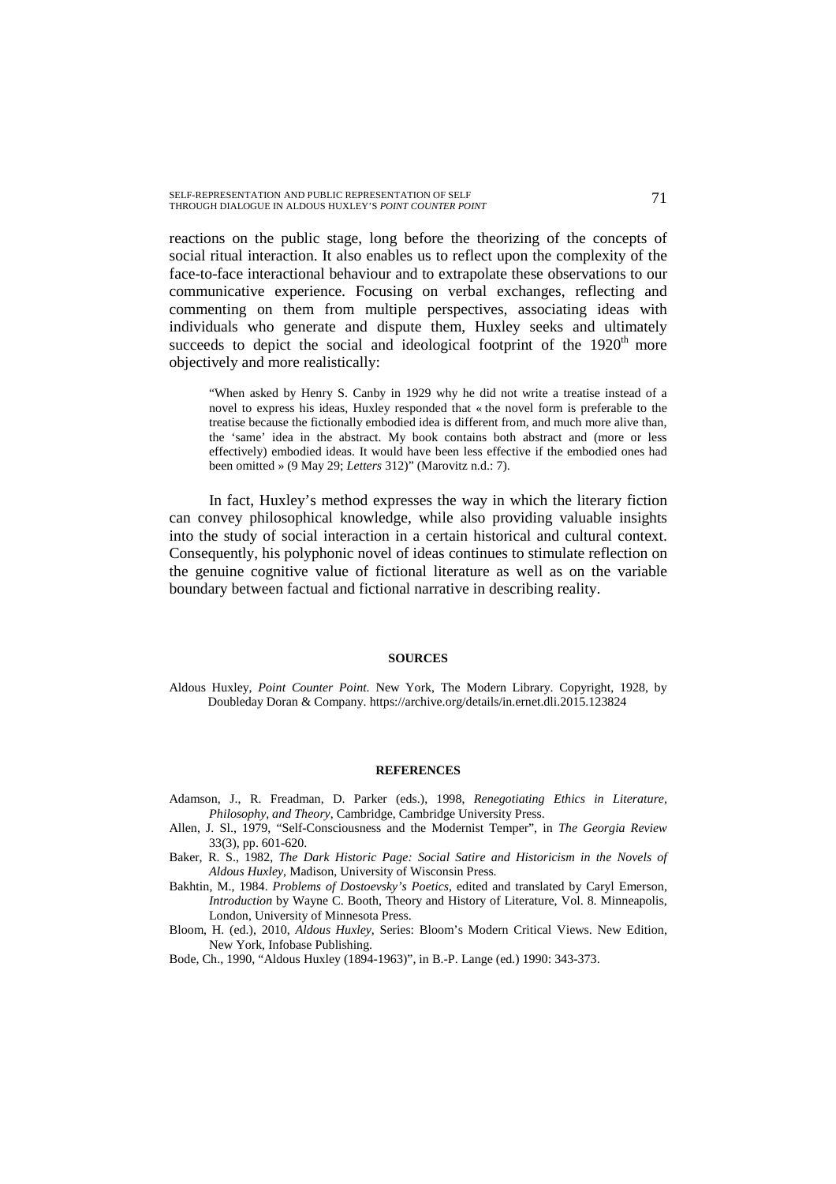reactions on the public stage, long before the theorizing of the concepts of social ritual interaction. It also enables us to reflect upon the complexity of the face-to-face interactional behaviour and to extrapolate these observations to our communicative experience. Focusing on verbal exchanges, reflecting and commenting on them from multiple perspectives, associating ideas with individuals who generate and dispute them, Huxley seeks and ultimately succeeds to depict the social and ideological footprint of the  $1920<sup>th</sup>$  more objectively and more realistically:

"When asked by Henry S. Canby in 1929 why he did not write a treatise instead of a novel to express his ideas, Huxley responded that « the novel form is preferable to the treatise because the fictionally embodied idea is different from, and much more alive than, the 'same' idea in the abstract. My book contains both abstract and (more or less effectively) embodied ideas. It would have been less effective if the embodied ones had been omitted » (9 May 29; *Letters* 312)" (Marovitz n.d.: 7).

In fact, Huxley's method expresses the way in which the literary fiction can convey philosophical knowledge, while also providing valuable insights into the study of social interaction in a certain historical and cultural context. Consequently, his polyphonic novel of ideas continues to stimulate reflection on the genuine cognitive value of fictional literature as well as on the variable boundary between factual and fictional narrative in describing reality.

### **SOURCES**

Aldous Huxley, *Point Counter Point*. New York, The Modern Library. Copyright, 1928, by Doubleday Doran & Company. https://archive.org/details/in.ernet.dli.2015.123824

## **REFERENCES**

- Adamson, J., R. Freadman, D. Parker (eds.), 1998, *Renegotiating Ethics in Literature, Philosophy, and Theory*, Cambridge, Cambridge University Press.
- Allen, J. Sl., 1979, "Self-Consciousness and the Modernist Temper", in *The Georgia Review*  33(3), pp. 601-620.
- Baker, R. S., 1982, *The Dark Historic Page: Social Satire and Historicism in the Novels of Aldous Huxley*, Madison, University of Wisconsin Press.
- Bakhtin, M., 1984. *Problems of Dostoevsky's Poetics*, edited and translated by Caryl Emerson, *Introduction* by Wayne C. Booth, Theory and History of Literature, Vol. 8. Minneapolis, London, University of Minnesota Press.
- Bloom, H. (ed.), 2010, *Aldous Huxley*, Series: Bloom's Modern Critical Views. New Edition, New York, Infobase Publishing.

Bode, Ch., 1990, "Aldous Huxley (1894-1963)", in B.-P. Lange (ed.) 1990: 343-373.